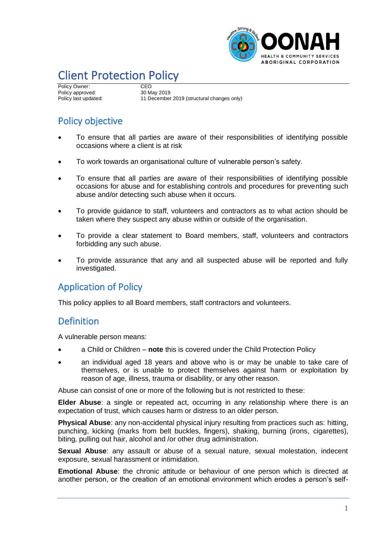

# Client Protection Policy

Policy Owner: CEO<br>
Policy approved: 30 May 2019 Policy approved:<br>Policy last updated:

11 December 2019 (structural changes only)

## Policy objective

- To ensure that all parties are aware of their responsibilities of identifying possible occasions where a client is at risk
- To work towards an organisational culture of vulnerable person's safety.
- To ensure that all parties are aware of their responsibilities of identifying possible occasions for abuse and for establishing controls and procedures for preventing such abuse and/or detecting such abuse when it occurs.
- To provide guidance to staff, volunteers and contractors as to what action should be taken where they suspect any abuse within or outside of the organisation.
- To provide a clear statement to Board members, staff, volunteers and contractors forbidding any such abuse.
- To provide assurance that any and all suspected abuse will be reported and fully investigated.

## Application of Policy

This policy applies to all Board members, staff contractors and volunteers.

## **Definition**

A vulnerable person means:

- a Child or Children **note** this is covered under the Child Protection Policy
- an individual aged 18 years and above who is or may be unable to take care of themselves, or is unable to protect themselves against harm or exploitation by reason of age, illness, trauma or disability, or any other reason.

Abuse can consist of one or more of the following but is not restricted to these:

**Elder Abuse**: a single or repeated act, occurring in any relationship where there is an expectation of trust, which causes harm or distress to an older person.

**Physical Abuse**: any non-accidental physical injury resulting from practices such as: hitting, punching, kicking (marks from belt buckles, fingers), shaking, burning (irons, cigarettes), biting, pulling out hair, alcohol and /or other drug administration.

**Sexual Abuse**: any assault or abuse of a sexual nature, sexual molestation, indecent exposure, sexual harassment or intimidation.

**Emotional Abuse**: the chronic attitude or behaviour of one person which is directed at another person, or the creation of an emotional environment which erodes a person's self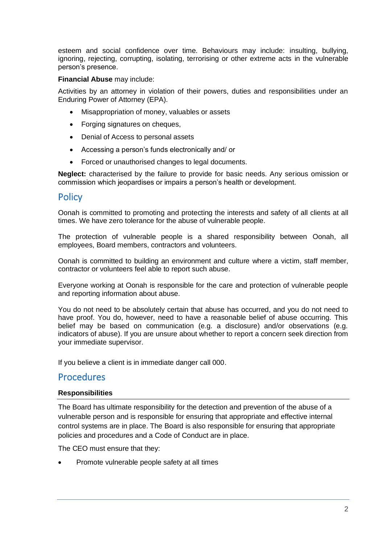esteem and social confidence over time. Behaviours may include: insulting, bullying, ignoring, rejecting, corrupting, isolating, terrorising or other extreme acts in the vulnerable person's presence.

#### **Financial Abuse** may include:

Activities by an attorney in violation of their powers, duties and responsibilities under an Enduring Power of Attorney (EPA).

- Misappropriation of money, valuables or assets
- Forging signatures on cheques,
- Denial of Access to personal assets
- Accessing a person's funds electronically and/ or
- Forced or unauthorised changes to legal documents.

**Neglect:** characterised by the failure to provide for basic needs. Any serious omission or commission which jeopardises or impairs a person's health or development.

### **Policy**

Oonah is committed to promoting and protecting the interests and safety of all clients at all times. We have zero tolerance for the abuse of vulnerable people.

The protection of vulnerable people is a shared responsibility between Oonah, all employees, Board members, contractors and volunteers.

Oonah is committed to building an environment and culture where a victim, staff member, contractor or volunteers feel able to report such abuse.

Everyone working at Oonah is responsible for the care and protection of vulnerable people and reporting information about abuse.

You do not need to be absolutely certain that abuse has occurred, and you do not need to have proof. You do, however, need to have a reasonable belief of abuse occurring. This belief may be based on communication (e.g. a disclosure) and/or observations (e.g. indicators of abuse). If you are unsure about whether to report a concern seek direction from your immediate supervisor.

If you believe a client is in immediate danger call 000.

## **Procedures**

#### **Responsibilities**

The Board has ultimate responsibility for the detection and prevention of the abuse of a vulnerable person and is responsible for ensuring that appropriate and effective internal control systems are in place. The Board is also responsible for ensuring that appropriate policies and procedures and a Code of Conduct are in place.

The CEO must ensure that they:

• Promote vulnerable people safety at all times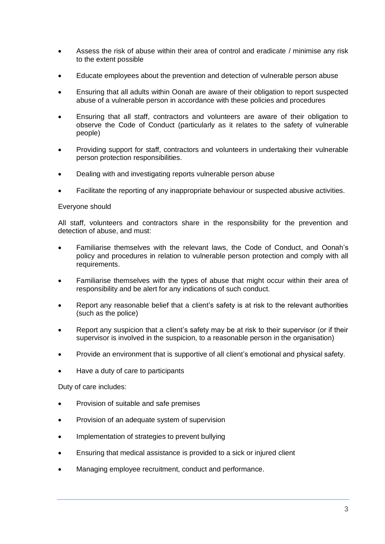- Assess the risk of abuse within their area of control and eradicate / minimise any risk to the extent possible
- Educate employees about the prevention and detection of vulnerable person abuse
- Ensuring that all adults within Oonah are aware of their obligation to report suspected abuse of a vulnerable person in accordance with these policies and procedures
- Ensuring that all staff, contractors and volunteers are aware of their obligation to observe the Code of Conduct (particularly as it relates to the safety of vulnerable people)
- Providing support for staff, contractors and volunteers in undertaking their vulnerable person protection responsibilities.
- Dealing with and investigating reports vulnerable person abuse
- Facilitate the reporting of any inappropriate behaviour or suspected abusive activities.

#### Everyone should

All staff, volunteers and contractors share in the responsibility for the prevention and detection of abuse, and must:

- Familiarise themselves with the relevant laws, the Code of Conduct, and Oonah's policy and procedures in relation to vulnerable person protection and comply with all requirements.
- Familiarise themselves with the types of abuse that might occur within their area of responsibility and be alert for any indications of such conduct.
- Report any reasonable belief that a client's safety is at risk to the relevant authorities (such as the police)
- Report any suspicion that a client's safety may be at risk to their supervisor (or if their supervisor is involved in the suspicion, to a reasonable person in the organisation)
- Provide an environment that is supportive of all client's emotional and physical safety.
- Have a duty of care to participants

Duty of care includes:

- Provision of suitable and safe premises
- Provision of an adequate system of supervision
- Implementation of strategies to prevent bullying
- Ensuring that medical assistance is provided to a sick or injured client
- Managing employee recruitment, conduct and performance.